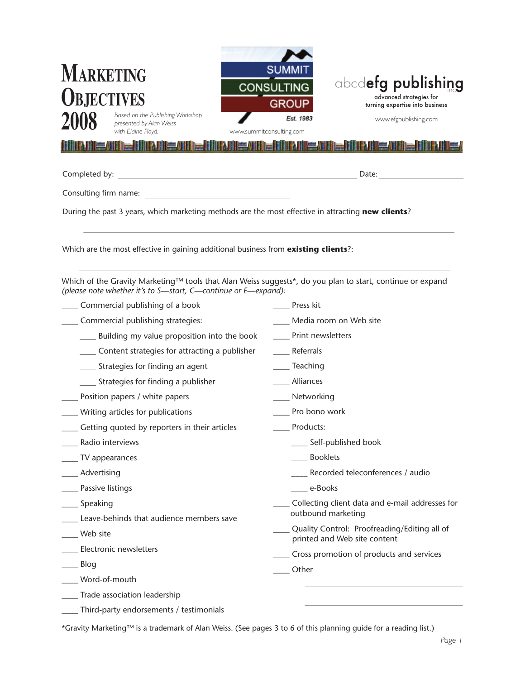| <b>MARKETING</b><br><b>OBJECTIVES</b>                                                                                                                                       | <b>SUMMI</b><br>abcdefg publishing<br><b>CONSULTING</b><br>advanced strategies for<br><b>GROUP</b><br>turning expertise into business |
|-----------------------------------------------------------------------------------------------------------------------------------------------------------------------------|---------------------------------------------------------------------------------------------------------------------------------------|
| Based on the Publishing Workshop<br>presented by Alan Weiss                                                                                                                 | Est. 1983<br>www.efgpublishing.com                                                                                                    |
| with Elaine Floyd.<br>www.summitconsulting.com                                                                                                                              |                                                                                                                                       |
|                                                                                                                                                                             |                                                                                                                                       |
| <u> 1980 - Johann Barbara, martxa alemaniar amerikan a</u><br>Completed by:                                                                                                 | Date:                                                                                                                                 |
| Consulting firm name:                                                                                                                                                       |                                                                                                                                       |
| During the past 3 years, which marketing methods are the most effective in attracting new clients?                                                                          |                                                                                                                                       |
|                                                                                                                                                                             |                                                                                                                                       |
|                                                                                                                                                                             |                                                                                                                                       |
| Which are the most effective in gaining additional business from existing clients?:                                                                                         |                                                                                                                                       |
| Which of the Gravity Marketing™ tools that Alan Weiss suggests*, do you plan to start, continue or expand<br>(please note whether it's to S-start, C-continue or E-expand): |                                                                                                                                       |
| Commercial publishing of a book                                                                                                                                             | Press kit                                                                                                                             |
| Commercial publishing strategies:                                                                                                                                           | Media room on Web site                                                                                                                |
| Building my value proposition into the book                                                                                                                                 | Print newsletters                                                                                                                     |
| Content strategies for attracting a publisher                                                                                                                               | Referrals                                                                                                                             |
| Strategies for finding an agent                                                                                                                                             | Teaching                                                                                                                              |
| Strategies for finding a publisher                                                                                                                                          | Alliances                                                                                                                             |
| Position papers / white papers                                                                                                                                              | Networking                                                                                                                            |
| Writing articles for publications                                                                                                                                           | Pro bono work                                                                                                                         |
| _ Getting quoted by reporters in their articles                                                                                                                             | Products:                                                                                                                             |
| Radio interviews                                                                                                                                                            | Self-published book                                                                                                                   |
| $\_$ TV appearances                                                                                                                                                         | <b>Booklets</b>                                                                                                                       |
| Advertising                                                                                                                                                                 | Recorded teleconferences / audio                                                                                                      |
| _ Passive listings                                                                                                                                                          | e-Books                                                                                                                               |
| ___ Speaking                                                                                                                                                                | Collecting client data and e-mail addresses for                                                                                       |
| _ Leave-behinds that audience members save                                                                                                                                  | outbound marketing                                                                                                                    |
| Web site                                                                                                                                                                    | Quality Control: Proofreading/Editing all of                                                                                          |
| ___ Electronic newsletters                                                                                                                                                  | printed and Web site content                                                                                                          |
| Blog                                                                                                                                                                        | Cross promotion of products and services                                                                                              |
| Word-of-mouth                                                                                                                                                               | Other                                                                                                                                 |
| Trade association leadership                                                                                                                                                |                                                                                                                                       |
| Third-party endorsements / testimonials                                                                                                                                     |                                                                                                                                       |

\*Gravity Marketing™ is a trademark of Alan Weiss. (See pages 3 to 6 of this planning guide for a reading list.)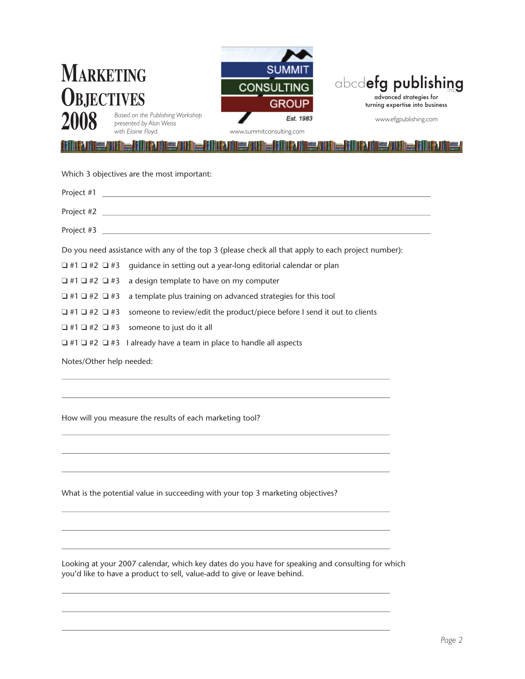| <b>MARKETING</b><br><b>OBJECTIVES</b> | Based on the Publishing Workshop<br>presented by Alan Weiss<br>with Elaine Floyd.  | <b>SUMMI</b><br><b>CONSULTING</b><br><b>GROUP</b><br>Est. 1983<br>www.summitconsulting.com         | abcdefg publishing<br>advanced strategies for<br>turning expertise into business<br>www.efgpublishing.com |
|---------------------------------------|------------------------------------------------------------------------------------|----------------------------------------------------------------------------------------------------|-----------------------------------------------------------------------------------------------------------|
|                                       |                                                                                    |                                                                                                    |                                                                                                           |
|                                       | Which 3 objectives are the most important:                                         |                                                                                                    |                                                                                                           |
| Project #1                            |                                                                                    |                                                                                                    |                                                                                                           |
| Project #2                            |                                                                                    |                                                                                                    |                                                                                                           |
| Project #3                            |                                                                                    |                                                                                                    |                                                                                                           |
|                                       |                                                                                    | Do you need assistance with any of the top 3 (please check all that apply to each project number): |                                                                                                           |
| $\Box$ #1 $\Box$ #2 $\Box$ #3         |                                                                                    | guidance in setting out a year-long editorial calendar or plan                                     |                                                                                                           |
| ❏ #1 ❏ #2 ❏ #3                        | a design template to have on my computer                                           |                                                                                                    |                                                                                                           |
| ❏ #1 ❏ #2 ❏ #3                        |                                                                                    | a template plus training on advanced strategies for this tool                                      |                                                                                                           |
| $\Box$ #1 $\Box$ #2 $\Box$ #3         |                                                                                    | someone to review/edit the product/piece before I send it out to clients                           |                                                                                                           |
| $\Box$ #1 $\Box$ #2 $\Box$ #3         | someone to just do it all                                                          |                                                                                                    |                                                                                                           |
|                                       | $\Box$ #1 $\Box$ #2 $\Box$ #3 I already have a team in place to handle all aspects |                                                                                                    |                                                                                                           |
|                                       | Notes/Other help needed:                                                           |                                                                                                    |                                                                                                           |
|                                       | How will you measure the results of each marketing tool?                           |                                                                                                    |                                                                                                           |
|                                       |                                                                                    |                                                                                                    |                                                                                                           |
|                                       |                                                                                    | What is the potential value in succeeding with your top 3 marketing objectives?                    |                                                                                                           |

Looking at your 2007 calendar, which key dates do you have for speaking and consulting for which you'd like to have a product to sell, value-add to give or leave behind.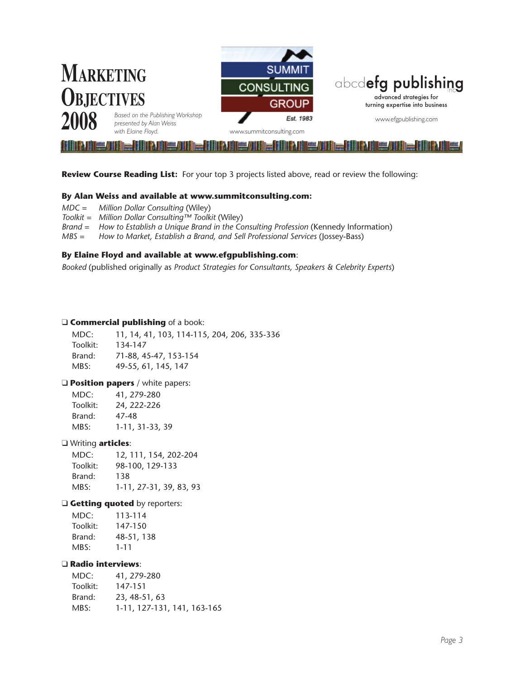

**Review Course Reading List:** For your top 3 projects listed above, read or review the following:

#### **By Alan Weiss and available at www.summitconsulting.com:**

- *MDC = Million Dollar Consulting* (Wiley)
- *Toolkit = Million Dollar Consulting™ Toolkit* (Wiley)
- *Brand = How to Establish a Unique Brand in the Consulting Profession* (Kennedy Information)
- *MBS = How to Market, Establish a Brand, and Sell Professional Services* (Jossey-Bass)

#### **By Elaine Floyd and available at www.efgpublishing.com**:

*Booked* (published originally as *Product Strategies for Consultants, Speakers & Celebrity Experts*)

#### **Q Commercial publishing** of a book:

| MDC:     | 11, 14, 41, 103, 114-115, 204, 206, 335-336 |
|----------|---------------------------------------------|
| Toolkit: | 134-147                                     |
| Brand:   | 71-88, 45-47, 153-154                       |
| MBS:     | 49-55, 61, 145, 147                         |

#### **Q Position papers** / white papers:

| MDC:     | 41, 279-280     |
|----------|-----------------|
| Toolkit: | 24, 222-226     |
| Brand:   | 47-48           |
| MBS:     | 1-11, 31-33, 39 |
|          |                 |

#### q Writing **articles**:

MDC: 12, 111, 154, 202-204 Toolkit: 98-100, 129-133 Brand: 138 MBS: 1-11, 27-31, 39, 83, 93

#### **Q Getting quoted** by reporters:

| MDC:     | 113-114    |
|----------|------------|
| Toolkit: | 147-150    |
| Brand:   | 48-51, 138 |
| MBS:     | $1 - 11$   |

#### q **Radio interviews**:

| MDC:     | 41, 279-280                 |
|----------|-----------------------------|
| Toolkit: | 147-151                     |
| Brand:   | 23, 48-51, 63               |
| MBS:     | 1-11, 127-131, 141, 163-165 |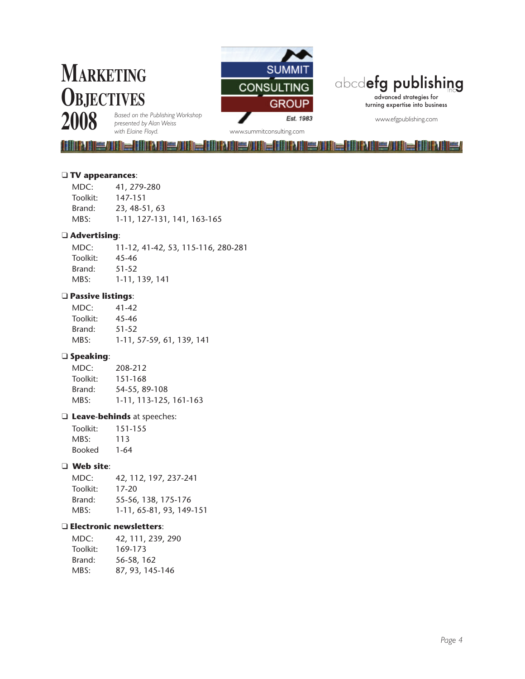## **Marketing Objectives 2008**



## abcdefg publishing

advanced strategies for turning expertise into business

www.efgpublishing.com

HUILE/IIIIE (IIIINIIE/IIIIE IIIINIIEE/IIIIE IIIINIIEE/

*Based on the Publishing Workshop presented by Alan Weiss* 

*with Elaine Floyd.* www.summitconsulting.com

#### q **TV appearances**:

| 41, 279-280                 |
|-----------------------------|
| 147-151                     |
| 23, 48-51, 63               |
| 1-11, 127-131, 141, 163-165 |
|                             |

MIE AINE AIN AINE AINE

#### q **Advertising**:

MDC: 11-12, 41-42, 53, 115-116, 280-281 Toolkit: 45-46 Brand: 51-52 MBS: 1-11, 139, 141

#### q **Passive listings**:

MDC: 41-42 Toolkit: 45-46 Brand: 51-52 MBS: 1-11, 57-59, 61, 139, 141

#### q **Speaking**:

| MDC:     | 208-212                |
|----------|------------------------|
| Toolkit: | 151-168                |
| Brand:   | 54-55, 89-108          |
| MBS:     | 1-11, 113-125, 161-163 |

#### q **Leave-behinds** at speeches:

| Toolkit: | 151-155 |
|----------|---------|
| MBS:     | 113     |
| Booked   | 1-64    |

#### q **Web site**:

| MDC:     | 42, 112, 197, 237-241    |
|----------|--------------------------|
| Toolkit: | 17-20                    |
| Brand:   | 55-56, 138, 175-176      |
| MBS:     | 1-11, 65-81, 93, 149-151 |

#### q **Electronic newsletters**:

| MDC:     | 42, 111, 239, 290 |
|----------|-------------------|
| Toolkit: | 169-173           |
| Brand:   | 56-58, 162        |
| MBS:     | 87, 93, 145-146   |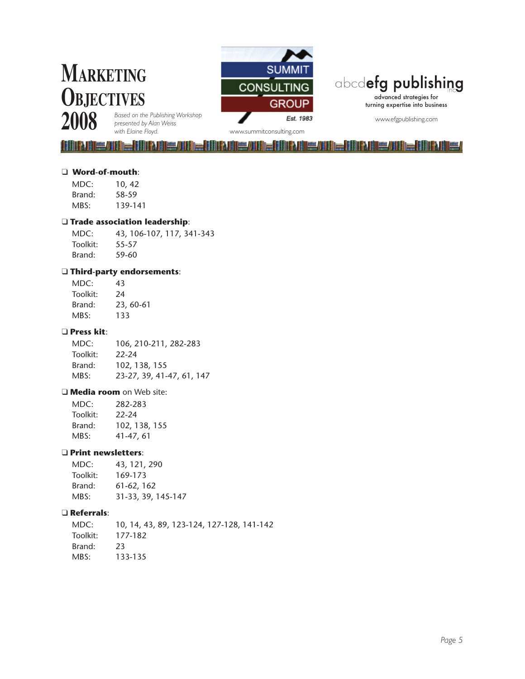# **Marketing Objectives**



## abcdefg publishing

advanced strategies for turning expertise into business

www.efgpublishing.com

**2008**

*Based on the Publishing Workshop presented by Alan Weiss* 

*with Elaine Floyd.* www.summitconsulting.com FANKS AN DE LINEANNE AN DE **ANIE / ANIE / ANIE / ANIE / ANIE / ANIE / ANIE / ANIE / ANIE / ANIE / ANIE / ANIE / ANIE / ANIE / ANIE / ANIE / Allie / III - IIII All** 

#### q **Word-of-mouth**:

| MDC:   | 10, 42  |
|--------|---------|
| Brand: | 58-59   |
| MBS:   | 139-141 |

#### q **Trade association leadership**:

MDC: 43, 106-107, 117, 341-343 Toolkit: 55-57 Brand: 59-60

#### q **Third-party endorsements**:

| MDC:     | 43        |
|----------|-----------|
| Toolkit: | 24        |
| Brand:   | 23, 60-61 |
| MBS:     | 133       |

#### q **Press kit**:

MDC: 106, 210-211, 282-283 Toolkit: 22-24 Brand: 102, 138, 155 MBS: 23-27, 39, 41-47, 61, 147

#### **Q Media room** on Web site:

| MDC:     | 282-283       |  |
|----------|---------------|--|
| Toolkit: | 22-24         |  |
| Brand:   | 102, 138, 155 |  |
| MBS:     | 41-47, 61     |  |

#### q **Print newsletters**:

| MDC:     | 43, 121, 290       |  |
|----------|--------------------|--|
| Toolkit: | 169-173            |  |
| Brand:   | 61-62, 162         |  |
| MBS:     | 31-33, 39, 145-147 |  |

#### q **Referrals**:

MDC: 10, 14, 43, 89, 123-124, 127-128, 141-142 Toolkit: 177-182 Brand: 23 MBS: 133-135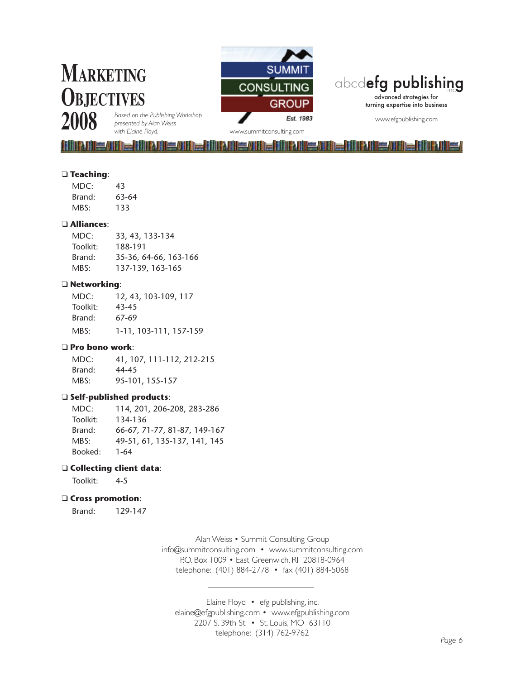# **Marketing Objectives**



### abcdefg publishing

advanced strategies for turning expertise into business

www.efgpublishing.com

**2008**

*Based on the Publishing Workshop presented by Alan Weiss* 

*with Elaine Floyd.* www.summitconsulting.com

<u> IIII ali IIII ali IIII ali III ali III ali III ali III ali III ali III ali III ali III ali III ali III ali I</u>

#### q **Teaching**:

| MDC:   | 43    |
|--------|-------|
| Brand: | 63-64 |
| MBS:   | 133   |

#### q **Alliances**:

| MDC:     | 33, 43, 133-134       |
|----------|-----------------------|
| Toolkit: | 188-191               |
| Brand:   | 35-36, 64-66, 163-166 |
| MBS:     | 137-139, 163-165      |

#### q **Networking**:

| MDC:     | 12, 43, 103-109, 117   |
|----------|------------------------|
| Toolkit: | 43-45                  |
| Brand:   | 67-69                  |
| MBS:     | 1-11, 103-111, 157-159 |

#### q **Pro bono work**:

MDC: 41, 107, 111-112, 212-215 Brand: 44-45 MBS: 95-101, 155-157

#### q **Self-published products**:

MDC: 114, 201, 206-208, 283-286 Toolkit: 134-136 Brand: 66-67, 71-77, 81-87, 149-167 MBS: 49-51, 61, 135-137, 141, 145 Booked: 1-64

#### q **Collecting client data**:

Toolkit: 4-5

#### q **Cross promotion**:

Brand: 129-147

Alan Weiss • Summit Consulting Group info@summitconsulting.com • www.summitconsulting.com P.O. Box 1009 • East Greenwich, RI 20818-0964 telephone: (401) 884-2778 • fax (401) 884-5068

Elaine Floyd • efg publishing, inc. elaine@efgpublishing.com • www.efgpublishing.com 2207 S. 39th St. • St. Louis, MO 63110 telephone: (314) 762-9762